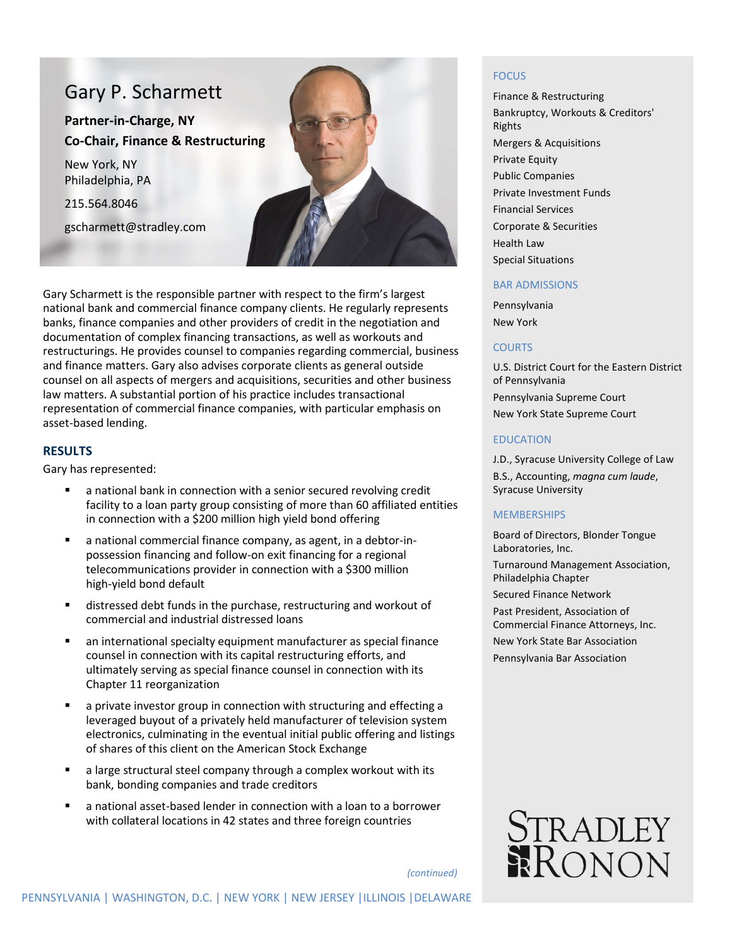# Gary P. Scharmett

**Partner-in-Charge, NY Co-Chair, Finance & Restructuring**

New York, NY Philadelphia, PA

215.564.8046

gscharmett@stradley.com



Gary Scharmett is the responsible partner with respect to the firm's largest national bank and commercial finance company clients. He regularly represents banks, finance companies and other providers of credit in the negotiation and documentation of complex financing transactions, as well as workouts and restructurings. He provides counsel to companies regarding commercial, business and finance matters. Gary also advises corporate clients as general outside counsel on all aspects of mergers and acquisitions, securities and other business law matters. A substantial portion of his practice includes transactional representation of commercial finance companies, with particular emphasis on asset-based lending.

# **RESULTS**

Gary has represented:

- a national bank in connection with a senior secured revolving credit facility to a loan party group consisting of more than 60 affiliated entities in connection with a \$200 million high yield bond offering
- a national commercial finance company, as agent, in a debtor-inpossession financing and follow-on exit financing for a regional telecommunications provider in connection with a \$300 million high-yield bond default
- distressed debt funds in the purchase, restructuring and workout of commercial and industrial distressed loans
- an international specialty equipment manufacturer as special finance counsel in connection with its capital restructuring efforts, and ultimately serving as special finance counsel in connection with its Chapter 11 reorganization
- a private investor group in connection with structuring and effecting a leveraged buyout of a privately held manufacturer of television system electronics, culminating in the eventual initial public offering and listings of shares of this client on the American Stock Exchange
- a large structural steel company through a complex workout with its bank, bonding companies and trade creditors
- a national asset-based lender in connection with a loan to a borrower with collateral locations in 42 states and three foreign countries

#### **FOCUS**

Finance & Restructuring Bankruptcy, Workouts & Creditors' Rights Mergers & Acquisitions Private Equity Public Companies Private Investment Funds Financial Services Corporate & Securities Health Law Special Situations

#### BAR ADMISSIONS

Pennsylvania New York

# **COURTS**

U.S. District Court for the Eastern District of Pennsylvania Pennsylvania Supreme Court New York State Supreme Court

### EDUCATION

J.D., Syracuse University College of Law B.S., Accounting, *magna cum laude*, Syracuse University

#### **MEMBERSHIPS**

Board of Directors, Blonder Tongue Laboratories, Inc.

Turnaround Management Association, Philadelphia Chapter

Secured Finance Network

Past President, Association of Commercial Finance Attorneys, Inc. New York State Bar Association Pennsylvania Bar Association



*(continued)*